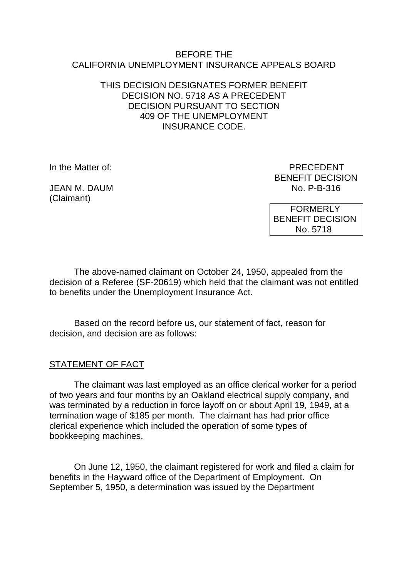#### BEFORE THE CALIFORNIA UNEMPLOYMENT INSURANCE APPEALS BOARD

### THIS DECISION DESIGNATES FORMER BENEFIT DECISION NO. 5718 AS A PRECEDENT DECISION PURSUANT TO SECTION 409 OF THE UNEMPLOYMENT INSURANCE CODE.

JFAN M. DAUM (Claimant)

In the Matter of: PRECEDENT BENEFIT DECISION<br>No. P-B-316

> FORMERLY BENEFIT DECISION No. 5718

The above-named claimant on October 24, 1950, appealed from the decision of a Referee (SF-20619) which held that the claimant was not entitled to benefits under the Unemployment Insurance Act.

Based on the record before us, our statement of fact, reason for decision, and decision are as follows:

# STATEMENT OF FACT

The claimant was last employed as an office clerical worker for a period of two years and four months by an Oakland electrical supply company, and was terminated by a reduction in force layoff on or about April 19, 1949, at a termination wage of \$185 per month. The claimant has had prior office clerical experience which included the operation of some types of bookkeeping machines.

On June 12, 1950, the claimant registered for work and filed a claim for benefits in the Hayward office of the Department of Employment. On September 5, 1950, a determination was issued by the Department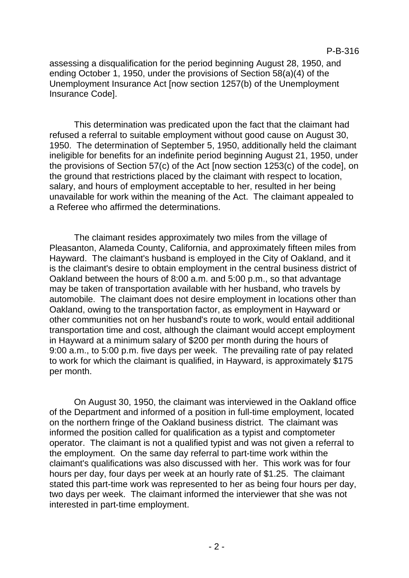assessing a disqualification for the period beginning August 28, 1950, and ending October 1, 1950, under the provisions of Section 58(a)(4) of the Unemployment Insurance Act [now section 1257(b) of the Unemployment Insurance Code].

This determination was predicated upon the fact that the claimant had refused a referral to suitable employment without good cause on August 30, 1950. The determination of September 5, 1950, additionally held the claimant ineligible for benefits for an indefinite period beginning August 21, 1950, under the provisions of Section 57(c) of the Act [now section 1253(c) of the code], on the ground that restrictions placed by the claimant with respect to location, salary, and hours of employment acceptable to her, resulted in her being unavailable for work within the meaning of the Act. The claimant appealed to a Referee who affirmed the determinations.

The claimant resides approximately two miles from the village of Pleasanton, Alameda County, California, and approximately fifteen miles from Hayward. The claimant's husband is employed in the City of Oakland, and it is the claimant's desire to obtain employment in the central business district of Oakland between the hours of 8:00 a.m. and 5:00 p.m., so that advantage may be taken of transportation available with her husband, who travels by automobile. The claimant does not desire employment in locations other than Oakland, owing to the transportation factor, as employment in Hayward or other communities not on her husband's route to work, would entail additional transportation time and cost, although the claimant would accept employment in Hayward at a minimum salary of \$200 per month during the hours of 9:00 a.m., to 5:00 p.m. five days per week. The prevailing rate of pay related to work for which the claimant is qualified, in Hayward, is approximately \$175 per month.

On August 30, 1950, the claimant was interviewed in the Oakland office of the Department and informed of a position in full-time employment, located on the northern fringe of the Oakland business district. The claimant was informed the position called for qualification as a typist and comptometer operator. The claimant is not a qualified typist and was not given a referral to the employment. On the same day referral to part-time work within the claimant's qualifications was also discussed with her. This work was for four hours per day, four days per week at an hourly rate of \$1.25. The claimant stated this part-time work was represented to her as being four hours per day, two days per week. The claimant informed the interviewer that she was not interested in part-time employment.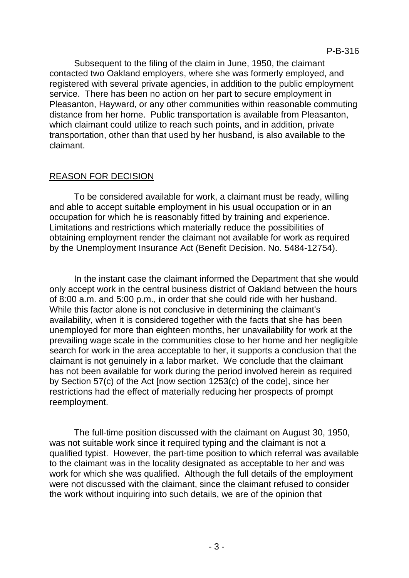Subsequent to the filing of the claim in June, 1950, the claimant contacted two Oakland employers, where she was formerly employed, and registered with several private agencies, in addition to the public employment service. There has been no action on her part to secure employment in Pleasanton, Hayward, or any other communities within reasonable commuting distance from her home. Public transportation is available from Pleasanton, which claimant could utilize to reach such points, and in addition, private transportation, other than that used by her husband, is also available to the claimant.

## REASON FOR DECISION

To be considered available for work, a claimant must be ready, willing and able to accept suitable employment in his usual occupation or in an occupation for which he is reasonably fitted by training and experience. Limitations and restrictions which materially reduce the possibilities of obtaining employment render the claimant not available for work as required by the Unemployment Insurance Act (Benefit Decision. No. 5484-12754).

In the instant case the claimant informed the Department that she would only accept work in the central business district of Oakland between the hours of 8:00 a.m. and 5:00 p.m., in order that she could ride with her husband. While this factor alone is not conclusive in determining the claimant's availability, when it is considered together with the facts that she has been unemployed for more than eighteen months, her unavailability for work at the prevailing wage scale in the communities close to her home and her negligible search for work in the area acceptable to her, it supports a conclusion that the claimant is not genuinely in a labor market. We conclude that the claimant has not been available for work during the period involved herein as required by Section 57(c) of the Act [now section 1253(c) of the code], since her restrictions had the effect of materially reducing her prospects of prompt reemployment.

The full-time position discussed with the claimant on August 30, 1950, was not suitable work since it required typing and the claimant is not a qualified typist. However, the part-time position to which referral was available to the claimant was in the locality designated as acceptable to her and was work for which she was qualified. Although the full details of the employment were not discussed with the claimant, since the claimant refused to consider the work without inquiring into such details, we are of the opinion that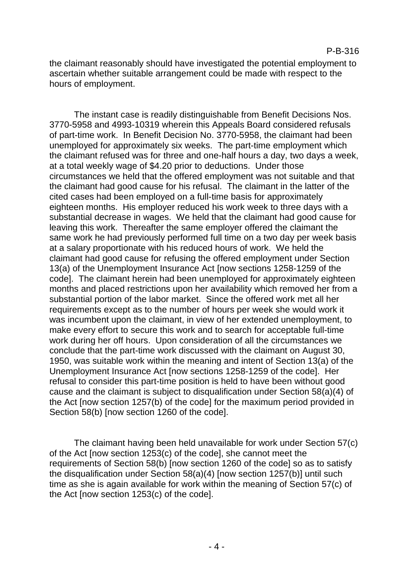the claimant reasonably should have investigated the potential employment to ascertain whether suitable arrangement could be made with respect to the hours of employment.

The instant case is readily distinguishable from Benefit Decisions Nos. 3770-5958 and 4993-10319 wherein this Appeals Board considered refusals of part-time work. In Benefit Decision No. 3770-5958, the claimant had been unemployed for approximately six weeks. The part-time employment which the claimant refused was for three and one-half hours a day, two days a week, at a total weekly wage of \$4.20 prior to deductions. Under those circumstances we held that the offered employment was not suitable and that the claimant had good cause for his refusal. The claimant in the latter of the cited cases had been employed on a full-time basis for approximately eighteen months. His employer reduced his work week to three days with a substantial decrease in wages. We held that the claimant had good cause for leaving this work. Thereafter the same employer offered the claimant the same work he had previously performed full time on a two day per week basis at a salary proportionate with his reduced hours of work. We held the claimant had good cause for refusing the offered employment under Section 13(a) of the Unemployment Insurance Act [now sections 1258-1259 of the code]. The claimant herein had been unemployed for approximately eighteen months and placed restrictions upon her availability which removed her from a substantial portion of the labor market. Since the offered work met all her requirements except as to the number of hours per week she would work it was incumbent upon the claimant, in view of her extended unemployment, to make every effort to secure this work and to search for acceptable full-time work during her off hours. Upon consideration of all the circumstances we conclude that the part-time work discussed with the claimant on August 30, 1950, was suitable work within the meaning and intent of Section 13(a) of the Unemployment Insurance Act [now sections 1258-1259 of the code]. Her refusal to consider this part-time position is held to have been without good cause and the claimant is subject to disqualification under Section 58(a)(4) of the Act [now section 1257(b) of the code] for the maximum period provided in Section 58(b) [now section 1260 of the code].

The claimant having been held unavailable for work under Section 57(c) of the Act [now section 1253(c) of the code], she cannot meet the requirements of Section 58(b) [now section 1260 of the code] so as to satisfy the disqualification under Section 58(a)(4) [now section 1257(b)] until such time as she is again available for work within the meaning of Section 57(c) of the Act [now section 1253(c) of the code].